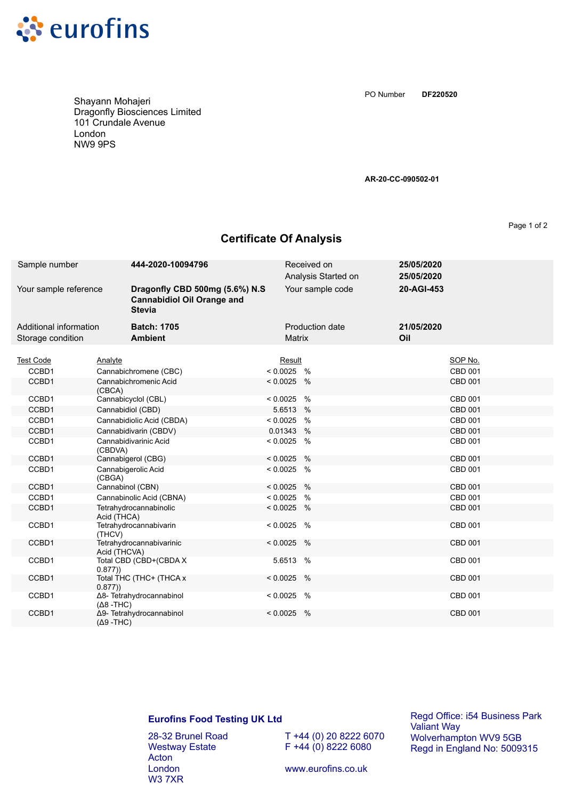

Shayann Mohajeri Dragonfly Biosciences Limited 101 Crundale Avenue London NW9 9PS

**DF220520** PO Number

**AR-20-CC-090502-01**

Page 1 of 2

## **Certificate Of Analysis**

| Sample number                               | 444-2020-10094796                                                                    | Received on                      | Analysis Started on | 25/05/2020<br>25/05/2020 |  |
|---------------------------------------------|--------------------------------------------------------------------------------------|----------------------------------|---------------------|--------------------------|--|
| Your sample reference                       | Dragonfly CBD 500mg (5.6%) N.S<br><b>Cannabidiol Oil Orange and</b><br><b>Stevia</b> |                                  | Your sample code    | 20-AGI-453               |  |
| Additional information<br>Storage condition | <b>Batch: 1705</b><br><b>Ambient</b>                                                 | Production date<br><b>Matrix</b> |                     | 21/05/2020<br>Oil        |  |
| <b>Test Code</b>                            | Analyte                                                                              | Result                           |                     | SOP No.                  |  |
| CCBD1                                       | Cannabichromene (CBC)                                                                | $< 0.0025$ %                     |                     | CBD 001                  |  |
| CCBD1                                       | Cannabichromenic Acid<br>(CBCA)                                                      | $< 0.0025$ %                     |                     | <b>CBD 001</b>           |  |
| CCBD1                                       | Cannabicyclol (CBL)                                                                  | $< 0.0025$ %                     |                     | <b>CBD 001</b>           |  |
| CCBD1                                       | Cannabidiol (CBD)                                                                    | 5.6513 %                         |                     | CBD 001                  |  |
| CCBD1                                       | Cannabidiolic Acid (CBDA)                                                            | $< 0.0025$ %                     |                     | CBD 001                  |  |
| CCBD1                                       | Cannabidivarin (CBDV)                                                                | 0.01343 %                        |                     | CBD 001                  |  |
| CCBD1                                       | Cannabidivarinic Acid<br>(CBDVA)                                                     | $< 0.0025$ %                     |                     | CBD 001                  |  |
| CCBD1                                       | Cannabigerol (CBG)                                                                   | $< 0.0025$ %                     |                     | <b>CBD 001</b>           |  |
| CCBD1                                       | Cannabigerolic Acid<br>(CBGA)                                                        | $< 0.0025$ %                     |                     | <b>CBD 001</b>           |  |
| CCBD1                                       | Cannabinol (CBN)                                                                     | $< 0.0025$ %                     |                     | <b>CBD 001</b>           |  |
| CCBD1                                       | Cannabinolic Acid (CBNA)                                                             | $< 0.0025$ %                     |                     | <b>CBD 001</b>           |  |
| CCBD1                                       | Tetrahydrocannabinolic<br>Acid (THCA)                                                | $< 0.0025$ %                     |                     | CBD 001                  |  |
| CCBD1                                       | Tetrahydrocannabivarin<br>(THCV)                                                     | $< 0.0025$ %                     |                     | <b>CBD 001</b>           |  |
| CCBD1                                       | Tetrahydrocannabivarinic<br>Acid (THCVA)                                             | $< 0.0025$ %                     |                     | <b>CBD 001</b>           |  |
| CCBD1                                       | Total CBD (CBD+(CBDA X<br>0.877)                                                     | 5.6513<br>$\%$                   |                     | <b>CBD 001</b>           |  |
| CCBD1                                       | Total THC (THC+ (THCA x<br>0.877)                                                    | $< 0.0025$ %                     |                     | <b>CBD 001</b>           |  |
| CCBD1                                       | Δ8- Tetrahydrocannabinol<br>$(Δ8 - THC)$                                             | $< 0.0025$ %                     |                     | CBD 001                  |  |
| CCBD1                                       | Δ9- Tetrahydrocannabinol<br>$(Δ9 - THC)$                                             | $< 0.0025$ %                     |                     | <b>CBD 001</b>           |  |

## **Eurofins Food Testing UK Ltd**

28-32 Brunel Road Westway Estate Acton London W3 7XR

T +44 (0) 20 8222 6070  $F + 44 (0) 8222 6080$ 

Regd Office: i54 Business Park Valiant Way Wolverhampton WV9 5GB Regd in England No: 5009315

www.eurofins.co.uk